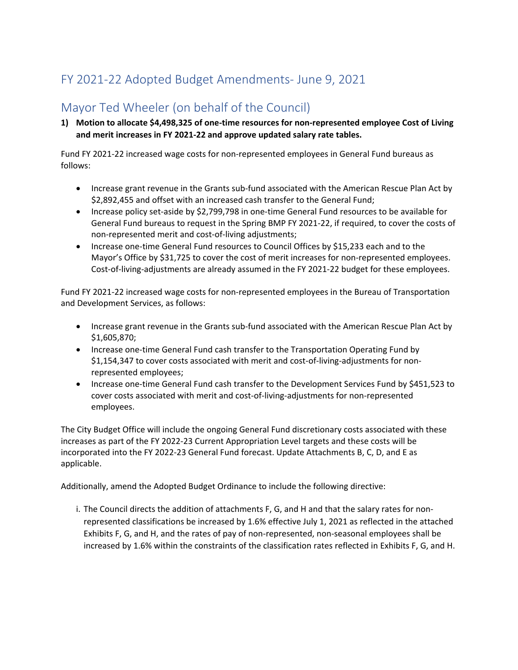## FY 2021-22 Adopted Budget Amendments- June 9, 2021

## Mayor Ted Wheeler (on behalf of the Council)

**1) Motion to allocate \$4,498,325 of one-time resources for non-represented employee Cost of Living and merit increases in FY 2021-22 and approve updated salary rate tables.**

Fund FY 2021-22 increased wage costs for non-represented employees in General Fund bureaus as follows:

- Increase grant revenue in the Grants sub-fund associated with the American Rescue Plan Act by \$2,892,455 and offset with an increased cash transfer to the General Fund;
- Increase policy set-aside by \$2,799,798 in one-time General Fund resources to be available for General Fund bureaus to request in the Spring BMP FY 2021-22, if required, to cover the costs of non-represented merit and cost-of-living adjustments;
- Increase one-time General Fund resources to Council Offices by \$15,233 each and to the Mayor's Office by \$31,725 to cover the cost of merit increases for non-represented employees. Cost-of-living-adjustments are already assumed in the FY 2021-22 budget for these employees.

Fund FY 2021-22 increased wage costs for non-represented employees in the Bureau of Transportation and Development Services, as follows:

- Increase grant revenue in the Grants sub-fund associated with the American Rescue Plan Act by \$1,605,870;
- Increase one-time General Fund cash transfer to the Transportation Operating Fund by \$1,154,347 to cover costs associated with merit and cost-of-living-adjustments for nonrepresented employees;
- Increase one-time General Fund cash transfer to the Development Services Fund by \$451,523 to cover costs associated with merit and cost-of-living-adjustments for non-represented employees.

The City Budget Office will include the ongoing General Fund discretionary costs associated with these increases as part of the FY 2022-23 Current Appropriation Level targets and these costs will be incorporated into the FY 2022-23 General Fund forecast. Update Attachments B, C, D, and E as applicable.

Additionally, amend the Adopted Budget Ordinance to include the following directive:

i. The Council directs the addition of attachments F, G, and H and that the salary rates for nonrepresented classifications be increased by 1.6% effective July 1, 2021 as reflected in the attached Exhibits F, G, and H, and the rates of pay of non-represented, non-seasonal employees shall be increased by 1.6% within the constraints of the classification rates reflected in Exhibits F, G, and H.